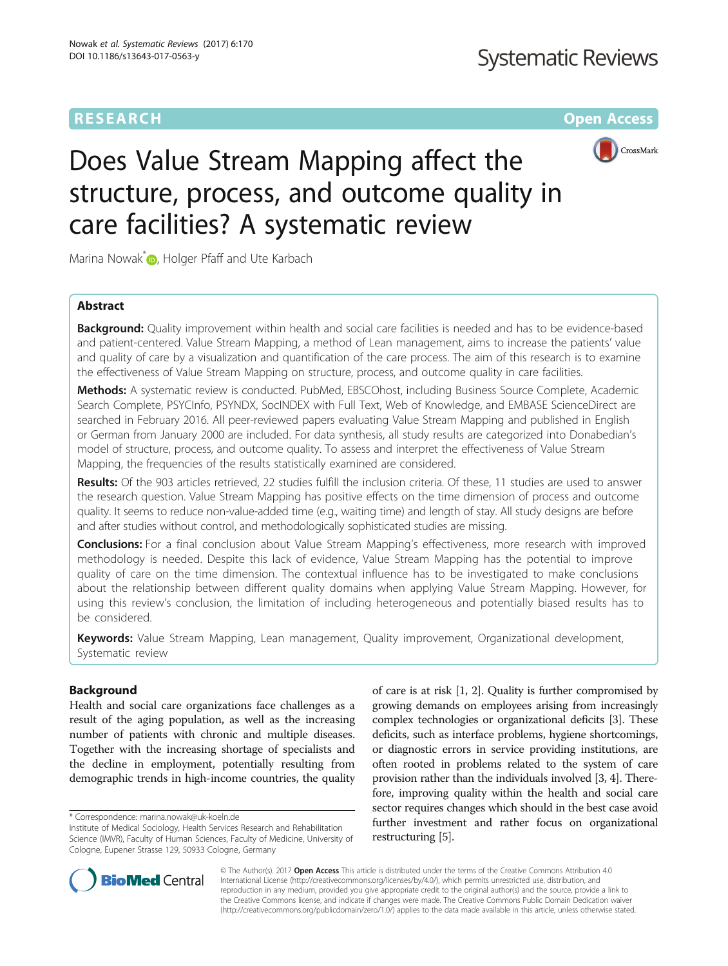## **RESEARCH CHEAR CHEAR CHEAR CHEAR CHEAR CHEAR CHEAR CHEAR CHEAR CHEAR CHEAR CHEAR CHEAR CHEAR CHEAR CHEAR CHEAR**



# Does Value Stream Mapping affect the structure, process, and outcome quality in care facilities? A systematic review

Marina Nowak<sup>\*</sup> <sub>(b</sub>[,](http://orcid.org/0000-0002-9826-3575) Holger Pfaff and Ute Karbach

## Abstract

**Background:** Quality improvement within health and social care facilities is needed and has to be evidence-based and patient-centered. Value Stream Mapping, a method of Lean management, aims to increase the patients' value and quality of care by a visualization and quantification of the care process. The aim of this research is to examine the effectiveness of Value Stream Mapping on structure, process, and outcome quality in care facilities.

Methods: A systematic review is conducted. PubMed, EBSCOhost, including Business Source Complete, Academic Search Complete, PSYCInfo, PSYNDX, SocINDEX with Full Text, Web of Knowledge, and EMBASE ScienceDirect are searched in February 2016. All peer-reviewed papers evaluating Value Stream Mapping and published in English or German from January 2000 are included. For data synthesis, all study results are categorized into Donabedian's model of structure, process, and outcome quality. To assess and interpret the effectiveness of Value Stream Mapping, the frequencies of the results statistically examined are considered.

Results: Of the 903 articles retrieved, 22 studies fulfill the inclusion criteria. Of these, 11 studies are used to answer the research question. Value Stream Mapping has positive effects on the time dimension of process and outcome quality. It seems to reduce non-value-added time (e.g., waiting time) and length of stay. All study designs are before and after studies without control, and methodologically sophisticated studies are missing.

**Conclusions:** For a final conclusion about Value Stream Mapping's effectiveness, more research with improved methodology is needed. Despite this lack of evidence, Value Stream Mapping has the potential to improve quality of care on the time dimension. The contextual influence has to be investigated to make conclusions about the relationship between different quality domains when applying Value Stream Mapping. However, for using this review's conclusion, the limitation of including heterogeneous and potentially biased results has to be considered.

Keywords: Value Stream Mapping, Lean management, Quality improvement, Organizational development, Systematic review

## Background

Health and social care organizations face challenges as a result of the aging population, as well as the increasing number of patients with chronic and multiple diseases. Together with the increasing shortage of specialists and the decline in employment, potentially resulting from demographic trends in high-income countries, the quality

\* Correspondence: [marina.nowak@uk-koeln.de](mailto:marina.nowak@uk-koeln.de)

Institute of Medical Sociology, Health Services Research and Rehabilitation Science (IMVR), Faculty of Human Sciences, Faculty of Medicine, University of Cologne, Eupener Strasse 129, 50933 Cologne, Germany

of care is at risk [\[1, 2\]](#page-8-0). Quality is further compromised by growing demands on employees arising from increasingly complex technologies or organizational deficits [\[3](#page-8-0)]. These deficits, such as interface problems, hygiene shortcomings, or diagnostic errors in service providing institutions, are often rooted in problems related to the system of care provision rather than the individuals involved [[3](#page-8-0), [4\]](#page-8-0). Therefore, improving quality within the health and social care sector requires changes which should in the best case avoid further investment and rather focus on organizational restructuring [[5\]](#page-8-0).



© The Author(s). 2017 **Open Access** This article is distributed under the terms of the Creative Commons Attribution 4.0 International License [\(http://creativecommons.org/licenses/by/4.0/](http://creativecommons.org/licenses/by/4.0/)), which permits unrestricted use, distribution, and reproduction in any medium, provided you give appropriate credit to the original author(s) and the source, provide a link to the Creative Commons license, and indicate if changes were made. The Creative Commons Public Domain Dedication waiver [\(http://creativecommons.org/publicdomain/zero/1.0/](http://creativecommons.org/publicdomain/zero/1.0/)) applies to the data made available in this article, unless otherwise stated.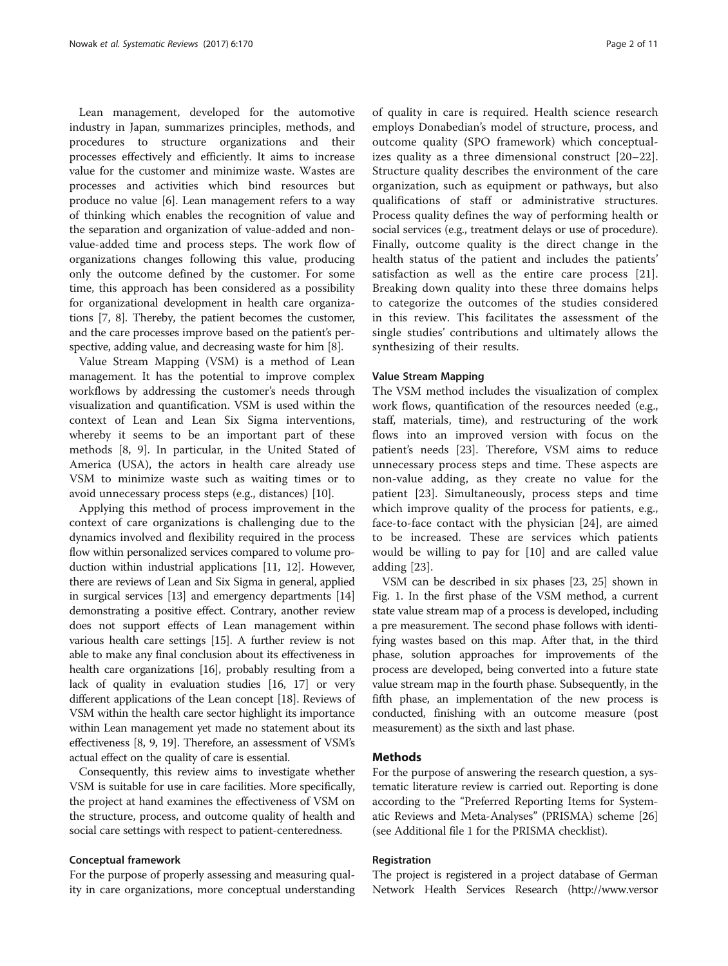Lean management, developed for the automotive industry in Japan, summarizes principles, methods, and procedures to structure organizations and their processes effectively and efficiently. It aims to increase value for the customer and minimize waste. Wastes are processes and activities which bind resources but produce no value [[6](#page-8-0)]. Lean management refers to a way of thinking which enables the recognition of value and the separation and organization of value-added and nonvalue-added time and process steps. The work flow of organizations changes following this value, producing only the outcome defined by the customer. For some time, this approach has been considered as a possibility for organizational development in health care organizations [\[7](#page-8-0), [8](#page-8-0)]. Thereby, the patient becomes the customer, and the care processes improve based on the patient's perspective, adding value, and decreasing waste for him [\[8\]](#page-8-0).

Value Stream Mapping (VSM) is a method of Lean management. It has the potential to improve complex workflows by addressing the customer's needs through visualization and quantification. VSM is used within the context of Lean and Lean Six Sigma interventions, whereby it seems to be an important part of these methods [\[8](#page-8-0), [9](#page-8-0)]. In particular, in the United Stated of America (USA), the actors in health care already use VSM to minimize waste such as waiting times or to avoid unnecessary process steps (e.g., distances) [\[10](#page-8-0)].

Applying this method of process improvement in the context of care organizations is challenging due to the dynamics involved and flexibility required in the process flow within personalized services compared to volume production within industrial applications [\[11,](#page-8-0) [12\]](#page-9-0). However, there are reviews of Lean and Six Sigma in general, applied in surgical services [\[13](#page-9-0)] and emergency departments [[14](#page-9-0)] demonstrating a positive effect. Contrary, another review does not support effects of Lean management within various health care settings [\[15](#page-9-0)]. A further review is not able to make any final conclusion about its effectiveness in health care organizations [\[16\]](#page-9-0), probably resulting from a lack of quality in evaluation studies [\[16, 17\]](#page-9-0) or very different applications of the Lean concept [\[18\]](#page-9-0). Reviews of VSM within the health care sector highlight its importance within Lean management yet made no statement about its effectiveness [\[8, 9,](#page-8-0) [19\]](#page-9-0). Therefore, an assessment of VSM's actual effect on the quality of care is essential.

Consequently, this review aims to investigate whether VSM is suitable for use in care facilities. More specifically, the project at hand examines the effectiveness of VSM on the structure, process, and outcome quality of health and social care settings with respect to patient-centeredness.

## Conceptual framework

For the purpose of properly assessing and measuring quality in care organizations, more conceptual understanding

of quality in care is required. Health science research employs Donabedian's model of structure, process, and outcome quality (SPO framework) which conceptualizes quality as a three dimensional construct [\[20](#page-9-0)–[22](#page-9-0)]. Structure quality describes the environment of the care organization, such as equipment or pathways, but also qualifications of staff or administrative structures. Process quality defines the way of performing health or social services (e.g., treatment delays or use of procedure). Finally, outcome quality is the direct change in the health status of the patient and includes the patients' satisfaction as well as the entire care process [\[21](#page-9-0)]. Breaking down quality into these three domains helps to categorize the outcomes of the studies considered in this review. This facilitates the assessment of the single studies' contributions and ultimately allows the synthesizing of their results.

## Value Stream Mapping

The VSM method includes the visualization of complex work flows, quantification of the resources needed (e.g., staff, materials, time), and restructuring of the work flows into an improved version with focus on the patient's needs [\[23](#page-9-0)]. Therefore, VSM aims to reduce unnecessary process steps and time. These aspects are non-value adding, as they create no value for the patient [[23\]](#page-9-0). Simultaneously, process steps and time which improve quality of the process for patients, e.g., face-to-face contact with the physician [\[24](#page-9-0)], are aimed to be increased. These are services which patients would be willing to pay for [\[10](#page-8-0)] and are called value adding [[23\]](#page-9-0).

VSM can be described in six phases [\[23, 25](#page-9-0)] shown in Fig. [1.](#page-2-0) In the first phase of the VSM method, a current state value stream map of a process is developed, including a pre measurement. The second phase follows with identifying wastes based on this map. After that, in the third phase, solution approaches for improvements of the process are developed, being converted into a future state value stream map in the fourth phase. Subsequently, in the fifth phase, an implementation of the new process is conducted, finishing with an outcome measure (post measurement) as the sixth and last phase.

## Methods

For the purpose of answering the research question, a systematic literature review is carried out. Reporting is done according to the "Preferred Reporting Items for Systematic Reviews and Meta-Analyses" (PRISMA) scheme [[26](#page-9-0)] (see Additional file [1](#page-8-0) for the PRISMA checklist).

## Registration

The project is registered in a project database of German Network Health Services Research ([http://www.versor](http://www.versorgungsforschung-deutschland.de/show.php?pid=2705)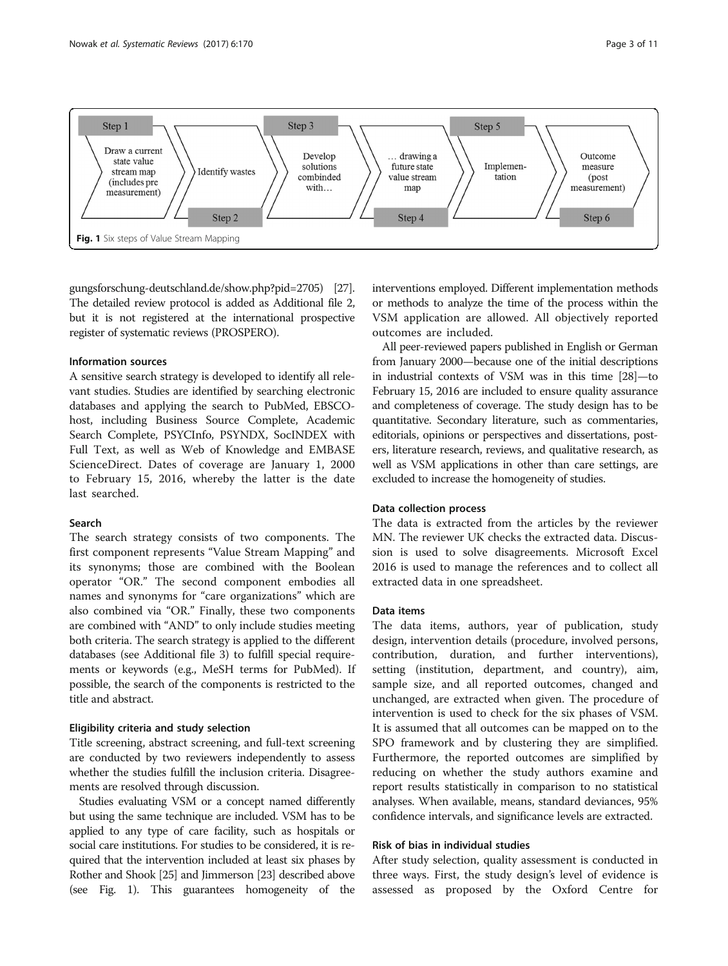<span id="page-2-0"></span>

[gungsforschung-deutschland.de/show.php?pid=2705\)](http://www.versorgungsforschung-deutschland.de/show.php?pid=2705) [\[27](#page-9-0)]. The detailed review protocol is added as Additional file [2](#page-8-0), but it is not registered at the international prospective register of systematic reviews (PROSPERO).

## Information sources

A sensitive search strategy is developed to identify all relevant studies. Studies are identified by searching electronic databases and applying the search to PubMed, EBSCOhost, including Business Source Complete, Academic Search Complete, PSYCInfo, PSYNDX, SocINDEX with Full Text, as well as Web of Knowledge and EMBASE ScienceDirect. Dates of coverage are January 1, 2000 to February 15, 2016, whereby the latter is the date last searched.

## Search

The search strategy consists of two components. The first component represents "Value Stream Mapping" and its synonyms; those are combined with the Boolean operator "OR." The second component embodies all names and synonyms for "care organizations" which are also combined via "OR." Finally, these two components are combined with "AND" to only include studies meeting both criteria. The search strategy is applied to the different databases (see Additional file [3](#page-8-0)) to fulfill special requirements or keywords (e.g., MeSH terms for PubMed). If possible, the search of the components is restricted to the title and abstract.

## Eligibility criteria and study selection

Title screening, abstract screening, and full-text screening are conducted by two reviewers independently to assess whether the studies fulfill the inclusion criteria. Disagreements are resolved through discussion.

Studies evaluating VSM or a concept named differently but using the same technique are included. VSM has to be applied to any type of care facility, such as hospitals or social care institutions. For studies to be considered, it is required that the intervention included at least six phases by Rother and Shook [\[25](#page-9-0)] and Jimmerson [\[23\]](#page-9-0) described above (see Fig. 1). This guarantees homogeneity of the interventions employed. Different implementation methods or methods to analyze the time of the process within the VSM application are allowed. All objectively reported outcomes are included.

All peer-reviewed papers published in English or German from January 2000—because one of the initial descriptions in industrial contexts of VSM was in this time [\[28\]](#page-9-0)—to February 15, 2016 are included to ensure quality assurance and completeness of coverage. The study design has to be quantitative. Secondary literature, such as commentaries, editorials, opinions or perspectives and dissertations, posters, literature research, reviews, and qualitative research, as well as VSM applications in other than care settings, are excluded to increase the homogeneity of studies.

## Data collection process

The data is extracted from the articles by the reviewer MN. The reviewer UK checks the extracted data. Discussion is used to solve disagreements. Microsoft Excel 2016 is used to manage the references and to collect all extracted data in one spreadsheet.

## Data items

The data items, authors, year of publication, study design, intervention details (procedure, involved persons, contribution, duration, and further interventions), setting (institution, department, and country), aim, sample size, and all reported outcomes, changed and unchanged, are extracted when given. The procedure of intervention is used to check for the six phases of VSM. It is assumed that all outcomes can be mapped on to the SPO framework and by clustering they are simplified. Furthermore, the reported outcomes are simplified by reducing on whether the study authors examine and report results statistically in comparison to no statistical analyses. When available, means, standard deviances, 95% confidence intervals, and significance levels are extracted.

## Risk of bias in individual studies

After study selection, quality assessment is conducted in three ways. First, the study design's level of evidence is assessed as proposed by the Oxford Centre for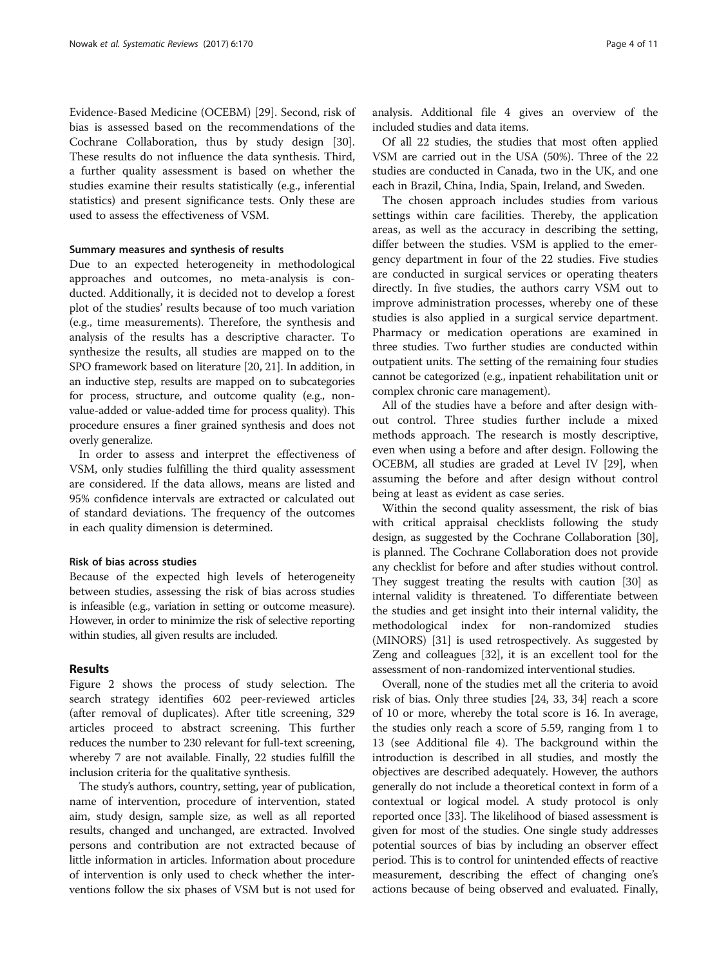Evidence-Based Medicine (OCEBM) [[29](#page-9-0)]. Second, risk of bias is assessed based on the recommendations of the Cochrane Collaboration, thus by study design [\[30](#page-9-0)]. These results do not influence the data synthesis. Third, a further quality assessment is based on whether the studies examine their results statistically (e.g., inferential statistics) and present significance tests. Only these are used to assess the effectiveness of VSM.

### Summary measures and synthesis of results

Due to an expected heterogeneity in methodological approaches and outcomes, no meta-analysis is conducted. Additionally, it is decided not to develop a forest plot of the studies' results because of too much variation (e.g., time measurements). Therefore, the synthesis and analysis of the results has a descriptive character. To synthesize the results, all studies are mapped on to the SPO framework based on literature [[20](#page-9-0), [21](#page-9-0)]. In addition, in an inductive step, results are mapped on to subcategories for process, structure, and outcome quality (e.g., nonvalue-added or value-added time for process quality). This procedure ensures a finer grained synthesis and does not overly generalize.

In order to assess and interpret the effectiveness of VSM, only studies fulfilling the third quality assessment are considered. If the data allows, means are listed and 95% confidence intervals are extracted or calculated out of standard deviations. The frequency of the outcomes in each quality dimension is determined.

## Risk of bias across studies

Because of the expected high levels of heterogeneity between studies, assessing the risk of bias across studies is infeasible (e.g., variation in setting or outcome measure). However, in order to minimize the risk of selective reporting within studies, all given results are included.

## Results

Figure [2](#page-4-0) shows the process of study selection. The search strategy identifies 602 peer-reviewed articles (after removal of duplicates). After title screening, 329 articles proceed to abstract screening. This further reduces the number to 230 relevant for full-text screening, whereby 7 are not available. Finally, 22 studies fulfill the inclusion criteria for the qualitative synthesis.

The study's authors, country, setting, year of publication, name of intervention, procedure of intervention, stated aim, study design, sample size, as well as all reported results, changed and unchanged, are extracted. Involved persons and contribution are not extracted because of little information in articles. Information about procedure of intervention is only used to check whether the interventions follow the six phases of VSM but is not used for

analysis. Additional file [4](#page-8-0) gives an overview of the included studies and data items.

Of all 22 studies, the studies that most often applied VSM are carried out in the USA (50%). Three of the 22 studies are conducted in Canada, two in the UK, and one each in Brazil, China, India, Spain, Ireland, and Sweden.

The chosen approach includes studies from various settings within care facilities. Thereby, the application areas, as well as the accuracy in describing the setting, differ between the studies. VSM is applied to the emergency department in four of the 22 studies. Five studies are conducted in surgical services or operating theaters directly. In five studies, the authors carry VSM out to improve administration processes, whereby one of these studies is also applied in a surgical service department. Pharmacy or medication operations are examined in three studies. Two further studies are conducted within outpatient units. The setting of the remaining four studies cannot be categorized (e.g., inpatient rehabilitation unit or complex chronic care management).

All of the studies have a before and after design without control. Three studies further include a mixed methods approach. The research is mostly descriptive, even when using a before and after design. Following the OCEBM, all studies are graded at Level IV [\[29\]](#page-9-0), when assuming the before and after design without control being at least as evident as case series.

Within the second quality assessment, the risk of bias with critical appraisal checklists following the study design, as suggested by the Cochrane Collaboration [[30](#page-9-0)], is planned. The Cochrane Collaboration does not provide any checklist for before and after studies without control. They suggest treating the results with caution [\[30\]](#page-9-0) as internal validity is threatened. To differentiate between the studies and get insight into their internal validity, the methodological index for non-randomized studies (MINORS) [\[31](#page-9-0)] is used retrospectively. As suggested by Zeng and colleagues [[32](#page-9-0)], it is an excellent tool for the assessment of non-randomized interventional studies.

Overall, none of the studies met all the criteria to avoid risk of bias. Only three studies [\[24, 33](#page-9-0), [34\]](#page-9-0) reach a score of 10 or more, whereby the total score is 16. In average, the studies only reach a score of 5.59, ranging from 1 to 13 (see Additional file [4\)](#page-8-0). The background within the introduction is described in all studies, and mostly the objectives are described adequately. However, the authors generally do not include a theoretical context in form of a contextual or logical model. A study protocol is only reported once [[33\]](#page-9-0). The likelihood of biased assessment is given for most of the studies. One single study addresses potential sources of bias by including an observer effect period. This is to control for unintended effects of reactive measurement, describing the effect of changing one's actions because of being observed and evaluated. Finally,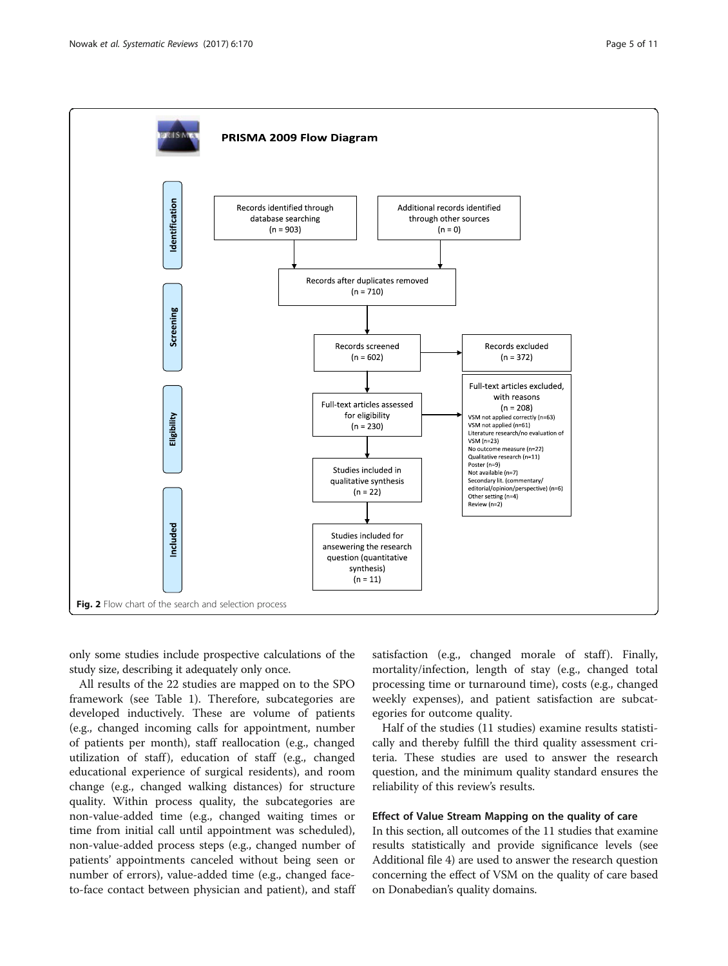<span id="page-4-0"></span>

only some studies include prospective calculations of the study size, describing it adequately only once.

All results of the 22 studies are mapped on to the SPO framework (see Table [1](#page-5-0)). Therefore, subcategories are developed inductively. These are volume of patients (e.g., changed incoming calls for appointment, number of patients per month), staff reallocation (e.g., changed utilization of staff ), education of staff (e.g., changed educational experience of surgical residents), and room change (e.g., changed walking distances) for structure quality. Within process quality, the subcategories are non-value-added time (e.g., changed waiting times or time from initial call until appointment was scheduled), non-value-added process steps (e.g., changed number of patients' appointments canceled without being seen or number of errors), value-added time (e.g., changed faceto-face contact between physician and patient), and staff satisfaction (e.g., changed morale of staff). Finally, mortality/infection, length of stay (e.g., changed total processing time or turnaround time), costs (e.g., changed weekly expenses), and patient satisfaction are subcategories for outcome quality.

Half of the studies (11 studies) examine results statistically and thereby fulfill the third quality assessment criteria. These studies are used to answer the research question, and the minimum quality standard ensures the reliability of this review's results.

## Effect of Value Stream Mapping on the quality of care

In this section, all outcomes of the 11 studies that examine results statistically and provide significance levels (see Additional file [4](#page-8-0)) are used to answer the research question concerning the effect of VSM on the quality of care based on Donabedian's quality domains.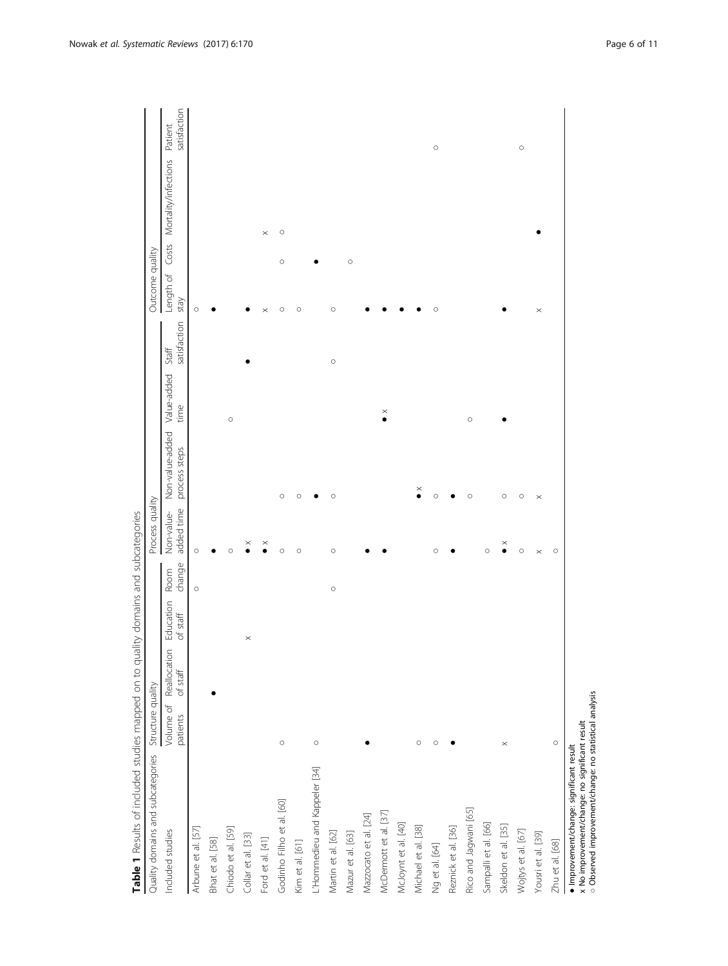<span id="page-5-0"></span>

| $\sum_{i=1}^n \sum_{j=1}^n x_j = \sum_{i=1}^n x_i$<br>Quality domains and subcategories Structure quality |          |                                    |                       |                | Process quality<br>ここのりころ |                                  |                     |                       | Outcome quality   |         |                      |                         |
|-----------------------------------------------------------------------------------------------------------|----------|------------------------------------|-----------------------|----------------|---------------------------|----------------------------------|---------------------|-----------------------|-------------------|---------|----------------------|-------------------------|
| Included studies                                                                                          | patients | Volume of Reallocation<br>of staff | Education<br>of staff | change<br>Room | added time<br>Non-value-  | Non-value-added<br>process steps | Value-added<br>time | satisfaction<br>Staff | Length of<br>stay | Costs   | Mortality/infections | satisfaction<br>Patient |
| Arbune et al. [57]                                                                                        |          |                                    |                       | $\circ$        | $\circ$                   |                                  |                     |                       | $\circ$           |         |                      |                         |
| Bhat et al. [58]                                                                                          |          |                                    |                       |                |                           |                                  |                     |                       |                   |         |                      |                         |
| Chiodo et al. [59]                                                                                        |          |                                    |                       |                | $\circ$                   |                                  | $\circ$             |                       |                   |         |                      |                         |
| Collar et al. [33]                                                                                        |          |                                    | $\times$              |                | $\leq$                    |                                  |                     |                       |                   |         |                      |                         |
| Ford et al. [41]                                                                                          |          |                                    |                       |                | $\leq$                    |                                  |                     |                       | $\times$          |         | $\times$             |                         |
| Godinho Filho et al. [60]                                                                                 | $\circ$  |                                    |                       |                | $\circ$                   | $\circ$                          |                     |                       | $\circ$           | $\circ$ | $\circ$              |                         |
| Kim et al. [61]                                                                                           |          |                                    |                       |                | $\circ$                   | $\circ$                          |                     |                       | O                 |         |                      |                         |
| L'Hommedieu and Kappeler [34]                                                                             | $\circ$  |                                    |                       |                |                           | c                                |                     |                       |                   |         |                      |                         |
| Martin et al. [62]                                                                                        |          |                                    |                       | $\circ$        | $\circ$                   | $\circ$                          |                     | $\circ$               | $\circ$           |         |                      |                         |
| Mazur et al. [63]                                                                                         |          |                                    |                       |                |                           |                                  |                     |                       |                   | $\circ$ |                      |                         |
| Mazzocato et al. [24]                                                                                     |          |                                    |                       |                |                           |                                  |                     |                       |                   |         |                      |                         |
| McDermott et al. [37]                                                                                     |          |                                    |                       |                |                           |                                  | $\check{\bullet}$   |                       |                   |         |                      |                         |
| McJoynt et al. [40]                                                                                       |          |                                    |                       |                |                           |                                  |                     |                       |                   |         |                      |                         |
| Michael et al. [38]                                                                                       | $\circ$  |                                    |                       |                |                           | $\leq$                           |                     |                       |                   |         |                      |                         |
| Ng et al. [64]                                                                                            | O        |                                    |                       |                | O                         | $\circ$                          |                     |                       | $\circ$           |         |                      | $\circ$                 |
| Reznick et al. [36]                                                                                       |          |                                    |                       |                |                           |                                  |                     |                       |                   |         |                      |                         |
| Rico and Jagwani [65]                                                                                     |          |                                    |                       |                |                           | $\circ$                          | $\circ$             |                       |                   |         |                      |                         |
| Sampalli et al. [66]                                                                                      |          |                                    |                       |                | $\circ$                   |                                  |                     |                       |                   |         |                      |                         |
| Skeldon et al. [35]                                                                                       | $\times$ |                                    |                       |                | $\check{\bullet}$         | $\circ$                          |                     |                       |                   |         |                      |                         |
| Wojtys et al. [67]                                                                                        |          |                                    |                       |                | $\circ$                   | $\circ$                          |                     |                       |                   |         |                      | $\circ$                 |
| Yousri et al. [39]                                                                                        |          |                                    |                       |                | $\times$                  | $\times$                         |                     |                       | $\times$          |         |                      |                         |
| Zhu et al. [68]                                                                                           | $\circ$  |                                    |                       |                | $\circ$                   |                                  |                     |                       |                   |         |                      |                         |
| · Improvement/change: significant result                                                                  |          |                                    |                       |                |                           |                                  |                     |                       |                   |         |                      |                         |

Table 1 Results of included studies mapped on to quality domains and subcategories Table 1 Results of included studies mapped on to quality domains and subcategories

x No improvement/change: no significant result x No improvement/change: no significant result<br>○ Observed improvement/change: no statistical analysis Observed improvement/change: no statistical analysis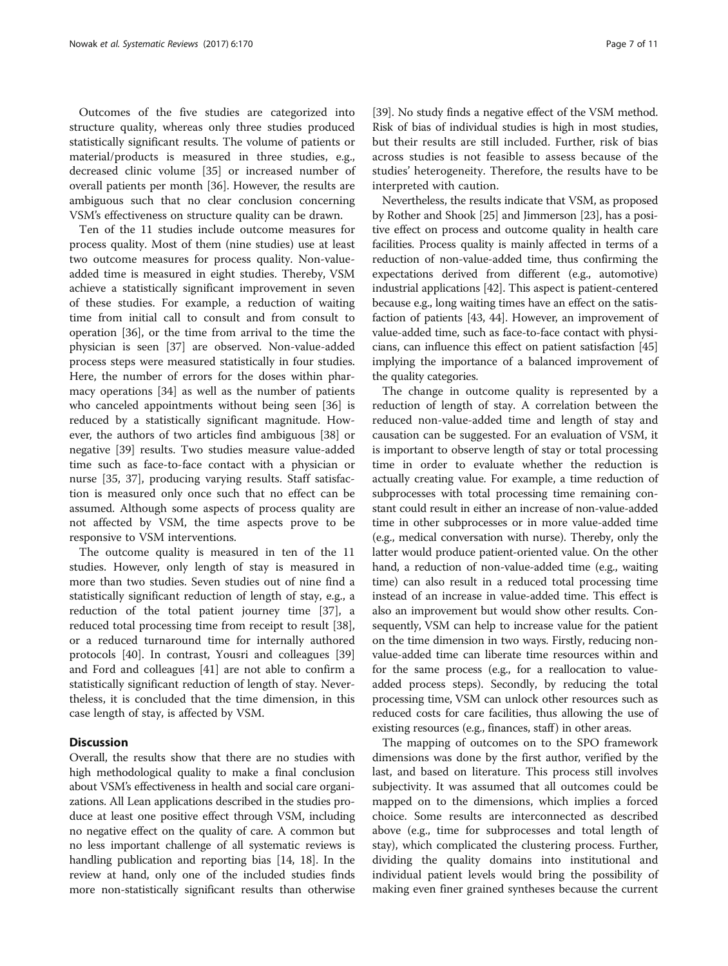Outcomes of the five studies are categorized into structure quality, whereas only three studies produced statistically significant results. The volume of patients or material/products is measured in three studies, e.g., decreased clinic volume [\[35](#page-9-0)] or increased number of overall patients per month [[36](#page-9-0)]. However, the results are ambiguous such that no clear conclusion concerning VSM's effectiveness on structure quality can be drawn.

Ten of the 11 studies include outcome measures for process quality. Most of them (nine studies) use at least two outcome measures for process quality. Non-valueadded time is measured in eight studies. Thereby, VSM achieve a statistically significant improvement in seven of these studies. For example, a reduction of waiting time from initial call to consult and from consult to operation [[36\]](#page-9-0), or the time from arrival to the time the physician is seen [[37\]](#page-9-0) are observed. Non-value-added process steps were measured statistically in four studies. Here, the number of errors for the doses within pharmacy operations [[34\]](#page-9-0) as well as the number of patients who canceled appointments without being seen [[36\]](#page-9-0) is reduced by a statistically significant magnitude. However, the authors of two articles find ambiguous [[38\]](#page-9-0) or negative [[39](#page-9-0)] results. Two studies measure value-added time such as face-to-face contact with a physician or nurse [[35](#page-9-0), [37\]](#page-9-0), producing varying results. Staff satisfaction is measured only once such that no effect can be assumed. Although some aspects of process quality are not affected by VSM, the time aspects prove to be responsive to VSM interventions.

The outcome quality is measured in ten of the 11 studies. However, only length of stay is measured in more than two studies. Seven studies out of nine find a statistically significant reduction of length of stay, e.g., a reduction of the total patient journey time [\[37\]](#page-9-0), a reduced total processing time from receipt to result [\[38](#page-9-0)], or a reduced turnaround time for internally authored protocols [[40\]](#page-9-0). In contrast, Yousri and colleagues [[39](#page-9-0)] and Ford and colleagues [\[41](#page-9-0)] are not able to confirm a statistically significant reduction of length of stay. Nevertheless, it is concluded that the time dimension, in this case length of stay, is affected by VSM.

## Discussion

Overall, the results show that there are no studies with high methodological quality to make a final conclusion about VSM's effectiveness in health and social care organizations. All Lean applications described in the studies produce at least one positive effect through VSM, including no negative effect on the quality of care. A common but no less important challenge of all systematic reviews is handling publication and reporting bias [\[14, 18](#page-9-0)]. In the review at hand, only one of the included studies finds more non-statistically significant results than otherwise

[[39](#page-9-0)]. No study finds a negative effect of the VSM method. Risk of bias of individual studies is high in most studies, but their results are still included. Further, risk of bias across studies is not feasible to assess because of the studies' heterogeneity. Therefore, the results have to be interpreted with caution.

Nevertheless, the results indicate that VSM, as proposed by Rother and Shook [\[25\]](#page-9-0) and Jimmerson [[23\]](#page-9-0), has a positive effect on process and outcome quality in health care facilities. Process quality is mainly affected in terms of a reduction of non-value-added time, thus confirming the expectations derived from different (e.g., automotive) industrial applications [[42](#page-9-0)]. This aspect is patient-centered because e.g., long waiting times have an effect on the satisfaction of patients [\[43, 44](#page-9-0)]. However, an improvement of value-added time, such as face-to-face contact with physicians, can influence this effect on patient satisfaction [[45](#page-9-0)] implying the importance of a balanced improvement of the quality categories.

The change in outcome quality is represented by a reduction of length of stay. A correlation between the reduced non-value-added time and length of stay and causation can be suggested. For an evaluation of VSM, it is important to observe length of stay or total processing time in order to evaluate whether the reduction is actually creating value. For example, a time reduction of subprocesses with total processing time remaining constant could result in either an increase of non-value-added time in other subprocesses or in more value-added time (e.g., medical conversation with nurse). Thereby, only the latter would produce patient-oriented value. On the other hand, a reduction of non-value-added time (e.g., waiting time) can also result in a reduced total processing time instead of an increase in value-added time. This effect is also an improvement but would show other results. Consequently, VSM can help to increase value for the patient on the time dimension in two ways. Firstly, reducing nonvalue-added time can liberate time resources within and for the same process (e.g., for a reallocation to valueadded process steps). Secondly, by reducing the total processing time, VSM can unlock other resources such as reduced costs for care facilities, thus allowing the use of existing resources (e.g., finances, staff) in other areas.

The mapping of outcomes on to the SPO framework dimensions was done by the first author, verified by the last, and based on literature. This process still involves subjectivity. It was assumed that all outcomes could be mapped on to the dimensions, which implies a forced choice. Some results are interconnected as described above (e.g., time for subprocesses and total length of stay), which complicated the clustering process. Further, dividing the quality domains into institutional and individual patient levels would bring the possibility of making even finer grained syntheses because the current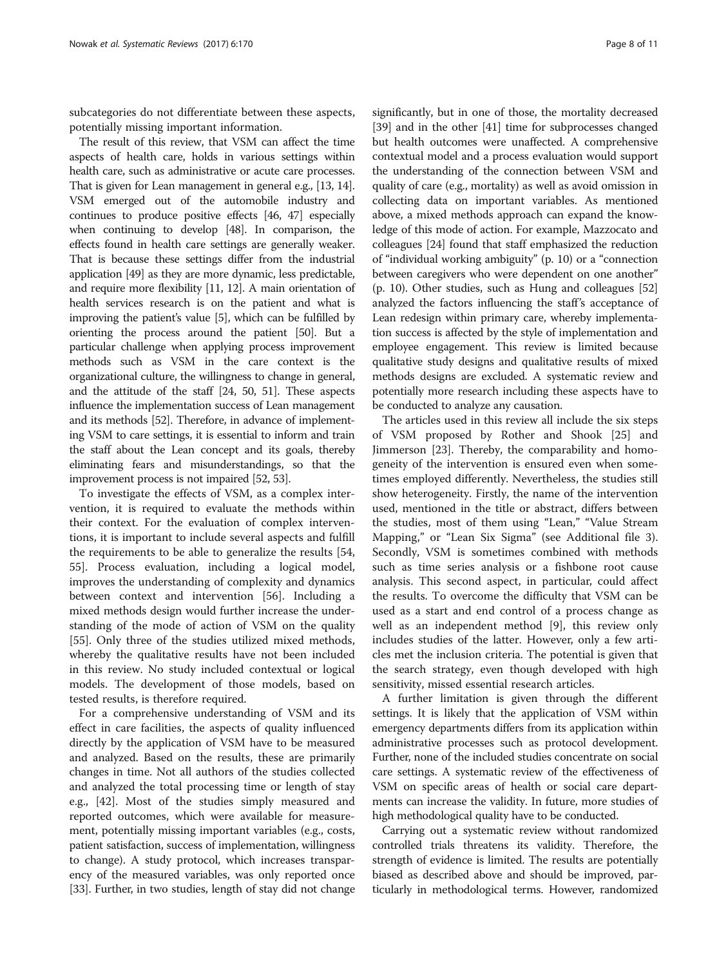subcategories do not differentiate between these aspects, potentially missing important information.

The result of this review, that VSM can affect the time aspects of health care, holds in various settings within health care, such as administrative or acute care processes. That is given for Lean management in general e.g., [[13](#page-9-0), [14](#page-9-0)]. VSM emerged out of the automobile industry and continues to produce positive effects [\[46](#page-9-0), [47](#page-9-0)] especially when continuing to develop [[48](#page-9-0)]. In comparison, the effects found in health care settings are generally weaker. That is because these settings differ from the industrial application [[49](#page-9-0)] as they are more dynamic, less predictable, and require more flexibility [\[11,](#page-8-0) [12](#page-9-0)]. A main orientation of health services research is on the patient and what is improving the patient's value [[5](#page-8-0)], which can be fulfilled by orienting the process around the patient [[50](#page-9-0)]. But a particular challenge when applying process improvement methods such as VSM in the care context is the organizational culture, the willingness to change in general, and the attitude of the staff [\[24](#page-9-0), [50, 51\]](#page-9-0). These aspects influence the implementation success of Lean management and its methods [[52](#page-9-0)]. Therefore, in advance of implementing VSM to care settings, it is essential to inform and train the staff about the Lean concept and its goals, thereby eliminating fears and misunderstandings, so that the improvement process is not impaired [\[52, 53\]](#page-9-0).

To investigate the effects of VSM, as a complex intervention, it is required to evaluate the methods within their context. For the evaluation of complex interventions, it is important to include several aspects and fulfill the requirements to be able to generalize the results [[54](#page-9-0), [55\]](#page-9-0). Process evaluation, including a logical model, improves the understanding of complexity and dynamics between context and intervention [[56\]](#page-9-0). Including a mixed methods design would further increase the understanding of the mode of action of VSM on the quality [[55\]](#page-9-0). Only three of the studies utilized mixed methods, whereby the qualitative results have not been included in this review. No study included contextual or logical models. The development of those models, based on tested results, is therefore required.

For a comprehensive understanding of VSM and its effect in care facilities, the aspects of quality influenced directly by the application of VSM have to be measured and analyzed. Based on the results, these are primarily changes in time. Not all authors of the studies collected and analyzed the total processing time or length of stay e.g., [\[42](#page-9-0)]. Most of the studies simply measured and reported outcomes, which were available for measurement, potentially missing important variables (e.g., costs, patient satisfaction, success of implementation, willingness to change). A study protocol, which increases transparency of the measured variables, was only reported once [[33](#page-9-0)]. Further, in two studies, length of stay did not change significantly, but in one of those, the mortality decreased [[39](#page-9-0)] and in the other [[41](#page-9-0)] time for subprocesses changed but health outcomes were unaffected. A comprehensive contextual model and a process evaluation would support the understanding of the connection between VSM and quality of care (e.g., mortality) as well as avoid omission in collecting data on important variables. As mentioned above, a mixed methods approach can expand the knowledge of this mode of action. For example, Mazzocato and colleagues [[24](#page-9-0)] found that staff emphasized the reduction of "individual working ambiguity" (p. 10) or a "connection between caregivers who were dependent on one another" (p. 10). Other studies, such as Hung and colleagues [[52](#page-9-0)] analyzed the factors influencing the staff's acceptance of Lean redesign within primary care, whereby implementation success is affected by the style of implementation and employee engagement. This review is limited because qualitative study designs and qualitative results of mixed methods designs are excluded. A systematic review and potentially more research including these aspects have to be conducted to analyze any causation.

The articles used in this review all include the six steps of VSM proposed by Rother and Shook [\[25](#page-9-0)] and Jimmerson [\[23](#page-9-0)]. Thereby, the comparability and homogeneity of the intervention is ensured even when sometimes employed differently. Nevertheless, the studies still show heterogeneity. Firstly, the name of the intervention used, mentioned in the title or abstract, differs between the studies, most of them using "Lean," "Value Stream Mapping," or "Lean Six Sigma" (see Additional file [3](#page-8-0)). Secondly, VSM is sometimes combined with methods such as time series analysis or a fishbone root cause analysis. This second aspect, in particular, could affect the results. To overcome the difficulty that VSM can be used as a start and end control of a process change as well as an independent method [[9\]](#page-8-0), this review only includes studies of the latter. However, only a few articles met the inclusion criteria. The potential is given that the search strategy, even though developed with high sensitivity, missed essential research articles.

A further limitation is given through the different settings. It is likely that the application of VSM within emergency departments differs from its application within administrative processes such as protocol development. Further, none of the included studies concentrate on social care settings. A systematic review of the effectiveness of VSM on specific areas of health or social care departments can increase the validity. In future, more studies of high methodological quality have to be conducted.

Carrying out a systematic review without randomized controlled trials threatens its validity. Therefore, the strength of evidence is limited. The results are potentially biased as described above and should be improved, particularly in methodological terms. However, randomized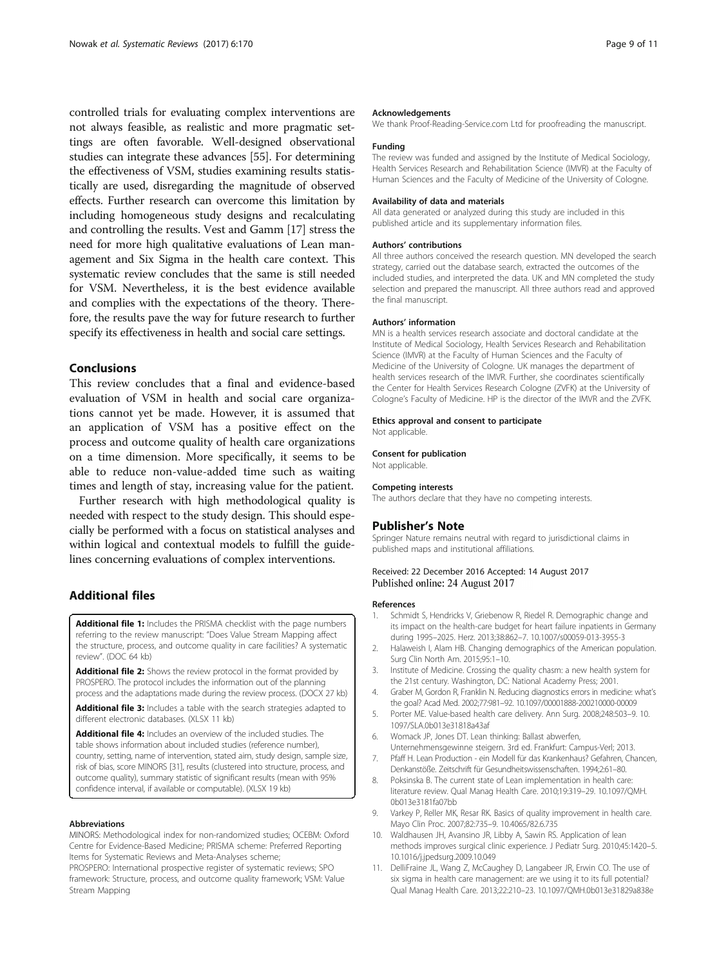<span id="page-8-0"></span>controlled trials for evaluating complex interventions are not always feasible, as realistic and more pragmatic settings are often favorable. Well-designed observational studies can integrate these advances [\[55](#page-9-0)]. For determining the effectiveness of VSM, studies examining results statistically are used, disregarding the magnitude of observed effects. Further research can overcome this limitation by including homogeneous study designs and recalculating and controlling the results. Vest and Gamm [[17](#page-9-0)] stress the need for more high qualitative evaluations of Lean management and Six Sigma in the health care context. This systematic review concludes that the same is still needed for VSM. Nevertheless, it is the best evidence available and complies with the expectations of the theory. Therefore, the results pave the way for future research to further specify its effectiveness in health and social care settings.

## Conclusions

This review concludes that a final and evidence-based evaluation of VSM in health and social care organizations cannot yet be made. However, it is assumed that an application of VSM has a positive effect on the process and outcome quality of health care organizations on a time dimension. More specifically, it seems to be able to reduce non-value-added time such as waiting times and length of stay, increasing value for the patient.

Further research with high methodological quality is needed with respect to the study design. This should especially be performed with a focus on statistical analyses and within logical and contextual models to fulfill the guidelines concerning evaluations of complex interventions.

## Additional files

[Additional file 1:](dx.doi.org/10.1186/s13643-017-0563-y) Includes the PRISMA checklist with the page numbers referring to the review manuscript: "Does Value Stream Mapping affect the structure, process, and outcome quality in care facilities? A systematic review". (DOC 64 kb)

[Additional file 2:](dx.doi.org/10.1186/s13643-017-0563-y) Shows the review protocol in the format provided by PROSPERO. The protocol includes the information out of the planning process and the adaptations made during the review process. (DOCX 27 kb)

[Additional file 3:](dx.doi.org/10.1186/s13643-017-0563-y) Includes a table with the search strategies adapted to different electronic databases. (XLSX 11 kb)

[Additional file 4:](dx.doi.org/10.1186/s13643-017-0563-y) Includes an overview of the included studies. The table shows information about included studies (reference number), country, setting, name of intervention, stated aim, study design, sample size, risk of bias, score MINORS [[31\]](#page-9-0), results (clustered into structure, process, and outcome quality), summary statistic of significant results (mean with 95% confidence interval, if available or computable). (XLSX 19 kb)

#### Abbreviations

MINORS: Methodological index for non-randomized studies; OCEBM: Oxford Centre for Evidence-Based Medicine; PRISMA scheme: Preferred Reporting Items for Systematic Reviews and Meta-Analyses scheme; PROSPERO: International prospective register of systematic reviews; SPO framework: Structure, process, and outcome quality framework; VSM: Value Stream Mapping

#### Acknowledgements

We thank Proof-Reading-Service.com Ltd for proofreading the manuscript.

## Funding

The review was funded and assigned by the Institute of Medical Sociology, Health Services Research and Rehabilitation Science (IMVR) at the Faculty of Human Sciences and the Faculty of Medicine of the University of Cologne.

#### Availability of data and materials

All data generated or analyzed during this study are included in this published article and its supplementary information files.

## Authors' contributions

All three authors conceived the research question. MN developed the search strategy, carried out the database search, extracted the outcomes of the included studies, and interpreted the data. UK and MN completed the study selection and prepared the manuscript. All three authors read and approved the final manuscript.

#### Authors' information

MN is a health services research associate and doctoral candidate at the Institute of Medical Sociology, Health Services Research and Rehabilitation Science (IMVR) at the Faculty of Human Sciences and the Faculty of Medicine of the University of Cologne. UK manages the department of health services research of the IMVR. Further, she coordinates scientifically the Center for Health Services Research Cologne (ZVFK) at the University of Cologne's Faculty of Medicine. HP is the director of the IMVR and the ZVFK.

## Ethics approval and consent to participate

Not applicable.

#### Consent for publication

Not applicable.

#### Competing interests

The authors declare that they have no competing interests.

## Publisher's Note

Springer Nature remains neutral with regard to jurisdictional claims in published maps and institutional affiliations.

## Received: 22 December 2016 Accepted: 14 August 2017 Published online: 24 August 2017

#### References

- 1. Schmidt S, Hendricks V, Griebenow R, Riedel R. Demographic change and its impact on the health-care budget for heart failure inpatients in Germany during 1995–2025. Herz. 2013;38:862–7. 10.1007/s00059-013-3955-3
- 2. Halaweish I, Alam HB. Changing demographics of the American population. Surg Clin North Am. 2015;95:1–10.
- 3. Institute of Medicine. Crossing the quality chasm: a new health system for the 21st century. Washington, DC: National Academy Press; 2001.
- 4. Graber M, Gordon R, Franklin N. Reducing diagnostics errors in medicine: what's the goal? Acad Med. 2002;77:981–92. 10.1097/00001888-200210000-00009
- 5. Porter ME. Value-based health care delivery. Ann Surg. 2008;248:503–9. 10. 1097/SLA.0b013e31818a43af
- 6. Womack JP, Jones DT. Lean thinking: Ballast abwerfen, Unternehmensgewinne steigern. 3rd ed. Frankfurt: Campus-Verl; 2013.
- 7. Pfaff H. Lean Production ein Modell für das Krankenhaus? Gefahren, Chancen, Denkanstöße. Zeitschrift für Gesundheitswissenschaften. 1994;2:61–80.
- 8. Poksinska B. The current state of Lean implementation in health care: literature review. Qual Manag Health Care. 2010;19:319–29. 10.1097/QMH. 0b013e3181fa07bb
- 9. Varkey P, Reller MK, Resar RK. Basics of quality improvement in health care. Mayo Clin Proc. 2007;82:735–9. 10.4065/82.6.735
- 10. Waldhausen JH, Avansino JR, Libby A, Sawin RS. Application of lean methods improves surgical clinic experience. J Pediatr Surg. 2010;45:1420–5. 10.1016/j.jpedsurg.2009.10.049
- 11. DelliFraine JL, Wang Z, McCaughey D, Langabeer JR, Erwin CO. The use of six sigma in health care management: are we using it to its full potential? Qual Manag Health Care. 2013;22:210–23. 10.1097/QMH.0b013e31829a838e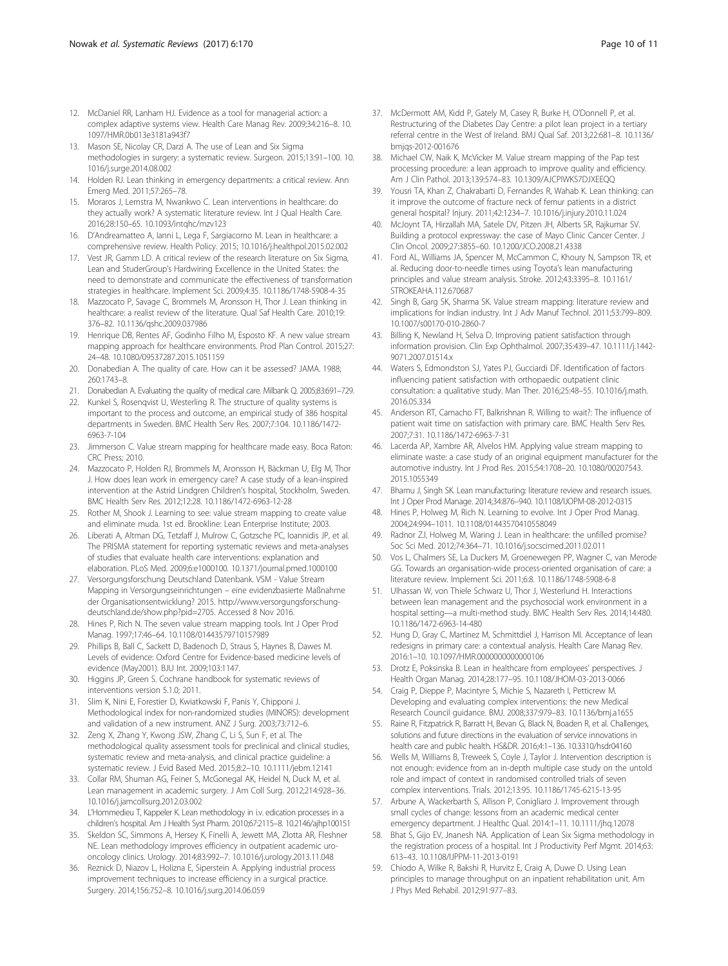- <span id="page-9-0"></span>12. McDaniel RR, Lanham HJ. Evidence as a tool for managerial action: a complex adaptive systems view. Health Care Manag Rev. 2009;34:216–8. 10. 1097/HMR.0b013e3181a943f7
- 13. Mason SE, Nicolay CR, Darzi A. The use of Lean and Six Sigma methodologies in surgery: a systematic review. Surgeon. 2015;13:91–100. 10. 1016/j.surge.2014.08.002
- 14. Holden RJ. Lean thinking in emergency departments: a critical review. Ann Emerg Med. 2011;57:265–78.
- 15. Moraros J, Lemstra M, Nwankwo C. Lean interventions in healthcare: do they actually work? A systematic literature review. Int J Qual Health Care. 2016;28:150–65. 10.1093/intqhc/mzv123
- 16. D'Andreamatteo A, Ianni L, Lega F, Sargiacomo M. Lean in healthcare: a comprehensive review. Health Policy. 2015; 10.1016/j.healthpol.2015.02.002
- 17. Vest JR, Gamm LD. A critical review of the research literature on Six Sigma, Lean and StuderGroup's Hardwiring Excellence in the United States: the need to demonstrate and communicate the effectiveness of transformation strategies in healthcare. Implement Sci. 2009;4:35. 10.1186/1748-5908-4-35
- 18. Mazzocato P, Savage C, Brommels M, Aronsson H, Thor J. Lean thinking in healthcare: a realist review of the literature. Qual Saf Health Care. 2010;19: 376–82. 10.1136/qshc.2009.037986
- 19. Henrique DB, Rentes AF, Godinho Filho M, Esposto KF. A new value stream mapping approach for healthcare environments. Prod Plan Control. 2015;27: 24–48. 10.1080/09537287.2015.1051159
- 20. Donabedian A. The quality of care. How can it be assessed? JAMA. 1988; 260:1743–8.
- 21. Donabedian A. Evaluating the quality of medical care. Milbank Q. 2005;83:691-729.
- 22. Kunkel S, Rosenqvist U, Westerling R. The structure of quality systems is important to the process and outcome, an empirical study of 386 hospital departments in Sweden. BMC Health Serv Res. 2007;7:104. 10.1186/1472- 6963-7-104
- 23. Jimmerson C. Value stream mapping for healthcare made easy. Boca Raton: CRC Press; 2010.
- 24. Mazzocato P, Holden RJ, Brommels M, Aronsson H, Bäckman U, Elg M, Thor J. How does lean work in emergency care? A case study of a lean-inspired intervention at the Astrid Lindgren Children's hospital, Stockholm, Sweden. BMC Health Serv Res. 2012;12:28. 10.1186/1472-6963-12-28
- 25. Rother M, Shook J. Learning to see: value stream mapping to create value and eliminate muda. 1st ed. Brookline: Lean Enterprise Institute; 2003.
- 26. Liberati A, Altman DG, Tetzlaff J, Mulrow C, Gotzsche PC, Ioannidis JP, et al. The PRISMA statement for reporting systematic reviews and meta-analyses of studies that evaluate health care interventions: explanation and elaboration. PLoS Med. 2009;6:e1000100. 10.1371/journal.pmed.1000100
- 27. Versorgungsforschung Deutschland Datenbank. VSM Value Stream Mapping in Versorgungseinrichtungen – eine evidenzbasierte Maßnahme der Organisationsentwicklung? 2015. [http://www.versorgungsforschung](http://www.versorgungsforschung-deutschland.de/show.php?pid=2705)[deutschland.de/show.php?pid=2705](http://www.versorgungsforschung-deutschland.de/show.php?pid=2705). Accessed 8 Nov 2016.
- 28. Hines P, Rich N. The seven value stream mapping tools. Int J Oper Prod Manag. 1997;17:46–64. 10.1108/01443579710157989
- 29. Phillips B, Ball C, Sackett D, Badenoch D, Straus S, Haynes B, Dawes M. Levels of evidence: Oxford Centre for Evidence-based medicine levels of evidence (May2001). BJU Int. 2009;103:1147.
- 30. Higgins JP, Green S. Cochrane handbook for systematic reviews of interventions version 5.1.0; 2011.
- 31. Slim K, Nini E, Forestier D, Kwiatkowski F, Panis Y, Chipponi J. Methodological index for non-randomized studies (MINORS): development and validation of a new instrument. ANZ J Surg. 2003;73:712–6.
- 32. Zeng X, Zhang Y, Kwong JSW, Zhang C, Li S, Sun F, et al. The methodological quality assessment tools for preclinical and clinical studies, systematic review and meta-analysis, and clinical practice guideline: a systematic review. J Evid Based Med. 2015;8:2–10. 10.1111/jebm.12141
- 33. Collar RM, Shuman AG, Feiner S, McGonegal AK, Heidel N, Duck M, et al. Lean management in academic surgery. J Am Coll Surg. 2012;214:928–36. 10.1016/j.jamcollsurg.2012.03.002
- 34. L'Hommedieu T, Kappeler K. Lean methodology in i.v. edication processes in a children's hospital. Am J Health Syst Pharm. 2010;67:2115–8. 10.2146/ajhp100151
- 35. Skeldon SC, Simmons A, Hersey K, Finelli A, Jewett MA, Zlotta AR, Fleshner NE. Lean methodology improves efficiency in outpatient academic urooncology clinics. Urology. 2014;83:992–7. 10.1016/j.urology.2013.11.048
- 36. Reznick D, Niazov L, Holizna E, Siperstein A. Applying industrial process improvement techniques to increase efficiency in a surgical practice. Surgery. 2014;156:752–8. 10.1016/j.surg.2014.06.059
- 37. McDermott AM, Kidd P, Gately M, Casey R, Burke H, O'Donnell P, et al. Restructuring of the Diabetes Day Centre: a pilot lean project in a tertiary referral centre in the West of Ireland. BMJ Qual Saf. 2013;22:681–8. 10.1136/ bmjqs-2012-001676
- 38. Michael CW, Naik K, McVicker M. Value stream mapping of the Pap test processing procedure: a lean approach to improve quality and efficiency. Am J Clin Pathol. 2013;139:574–83. 10.1309/AJCPIWKS7DJXEEQQ
- 39. Yousri TA, Khan Z, Chakrabarti D, Fernandes R, Wahab K. Lean thinking: can it improve the outcome of fracture neck of femur patients in a district general hospital? Injury. 2011;42:1234–7. 10.1016/j.injury.2010.11.024
- 40. McJoynt TA, Hirzallah MA, Satele DV, Pitzen JH, Alberts SR, Rajkumar SV. Building a protocol expressway: the case of Mayo Clinic Cancer Center. J Clin Oncol. 2009;27:3855–60. 10.1200/JCO.2008.21.4338
- 41. Ford AL, Williams JA, Spencer M, McCammon C, Khoury N, Sampson TR, et al. Reducing door-to-needle times using Toyota's lean manufacturing principles and value stream analysis. Stroke. 2012;43:3395–8. 10.1161/ STROKEAHA.112.670687
- 42. Singh B, Garg SK, Sharma SK. Value stream mapping: literature review and implications for Indian industry. Int J Adv Manuf Technol. 2011;53:799–809. 10.1007/s00170-010-2860-7
- 43. Billing K, Newland H, Selva D. Improving patient satisfaction through information provision. Clin Exp Ophthalmol. 2007;35:439–47. 10.1111/j.1442- 9071.2007.01514.x
- 44. Waters S, Edmondston SJ, Yates PJ, Gucciardi DF. Identification of factors influencing patient satisfaction with orthopaedic outpatient clinic consultation: a qualitative study. Man Ther. 2016;25:48–55. 10.1016/j.math. 2016.05.334
- 45. Anderson RT, Camacho FT, Balkrishnan R. Willing to wait?: The influence of patient wait time on satisfaction with primary care. BMC Health Serv Res. 2007;7:31. 10.1186/1472-6963-7-31
- 46. Lacerda AP, Xambre AR, Alvelos HM. Applying value stream mapping to eliminate waste: a case study of an original equipment manufacturer for the automotive industry. Int J Prod Res. 2015;54:1708–20. 10.1080/00207543. 2015.1055349
- 47. Bhamu J, Singh SK. Lean manufacturing: literature review and research issues. Int J Oper Prod Manage. 2014;34:876–940. 10.1108/IJOPM-08-2012-0315
- 48. Hines P, Holweg M, Rich N. Learning to evolve. Int J Oper Prod Manag. 2004;24:994–1011. 10.1108/01443570410558049
- 49. Radnor ZJ, Holweg M, Waring J. Lean in healthcare: the unfilled promise? Soc Sci Med. 2012;74:364–71. 10.1016/j.socscimed.2011.02.011
- 50. Vos L, Chalmers SE, La Duckers M, Groenewegen PP, Wagner C, van Merode GG. Towards an organisation-wide process-oriented organisation of care: a literature review. Implement Sci. 2011;6:8. 10.1186/1748-5908-6-8
- 51. Ulhassan W, von Thiele Schwarz U, Thor J, Westerlund H. Interactions between lean management and the psychosocial work environment in a hospital setting—a multi-method study. BMC Health Serv Res. 2014;14:480. 10.1186/1472-6963-14-480
- 52. Hung D, Gray C, Martinez M, Schmittdiel J, Harrison MI. Acceptance of lean redesigns in primary care: a contextual analysis. Health Care Manag Rev. 2016:1–10. 10.1097/HMR.0000000000000106
- 53. Drotz E, Poksinska B. Lean in healthcare from employees' perspectives. J Health Organ Manag. 2014;28:177–95. 10.1108/JHOM-03-2013-0066
- 54. Craig P, Dieppe P, Macintyre S, Michie S, Nazareth I, Petticrew M. Developing and evaluating complex interventions: the new Medical Research Council guidance. BMJ. 2008;337:979–83. 10.1136/bmj.a1655
- 55. Raine R, Fitzpatrick R, Barratt H, Bevan G, Black N, Boaden R, et al. Challenges, solutions and future directions in the evaluation of service innovations in health care and public health. HS&DR. 2016;4:1–136. 10.3310/hsdr04160
- 56. Wells M, Williams B, Treweek S, Coyle J, Taylor J. Intervention description is not enough: evidence from an in-depth multiple case study on the untold role and impact of context in randomised controlled trials of seven complex interventions. Trials. 2012;13:95. 10.1186/1745-6215-13-95
- 57. Arbune A, Wackerbarth S, Allison P, Conigliaro J. Improvement through small cycles of change: lessons from an academic medical center emergency department. J Healthc Qual. 2014:1–11. 10.1111/jhq.12078
- 58. Bhat S, Gijo EV, Jnanesh NA. Application of Lean Six Sigma methodology in the registration process of a hospital. Int J Productivity Perf Mgmt. 2014;63: 613–43. 10.1108/IJPPM-11-2013-0191
- 59. Chiodo A, Wilke R, Bakshi R, Hurvitz E, Craig A, Duwe D. Using Lean principles to manage throughput on an inpatient rehabilitation unit. Am J Phys Med Rehabil. 2012;91:977–83.